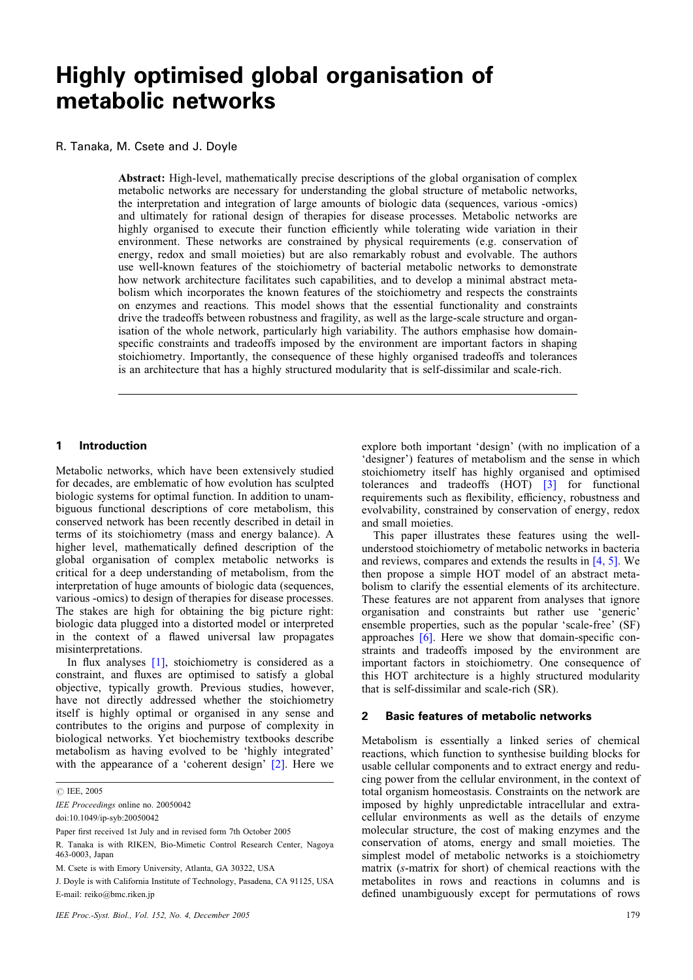# Highly optimised global organisation of metabolic networks

# R. Tanaka, M. Csete and J. Doyle

Abstract: High-level, mathematically precise descriptions of the global organisation of complex metabolic networks are necessary for understanding the global structure of metabolic networks, the interpretation and integration of large amounts of biologic data (sequences, various -omics) and ultimately for rational design of therapies for disease processes. Metabolic networks are highly organised to execute their function efficiently while tolerating wide variation in their environment. These networks are constrained by physical requirements (e.g. conservation of energy, redox and small moieties) but are also remarkably robust and evolvable. The authors use well-known features of the stoichiometry of bacterial metabolic networks to demonstrate how network architecture facilitates such capabilities, and to develop a minimal abstract metabolism which incorporates the known features of the stoichiometry and respects the constraints on enzymes and reactions. This model shows that the essential functionality and constraints drive the tradeoffs between robustness and fragility, as well as the large-scale structure and organisation of the whole network, particularly high variability. The authors emphasise how domainspecific constraints and tradeoffs imposed by the environment are important factors in shaping stoichiometry. Importantly, the consequence of these highly organised tradeoffs and tolerances is an architecture that has a highly structured modularity that is self-dissimilar and scale-rich.

#### 1 Introduction

Metabolic networks, which have been extensively studied for decades, are emblematic of how evolution has sculpted biologic systems for optimal function. In addition to unambiguous functional descriptions of core metabolism, this conserved network has been recently described in detail in terms of its stoichiometry (mass and energy balance). A higher level, mathematically defined description of the global organisation of complex metabolic networks is critical for a deep understanding of metabolism, from the interpretation of huge amounts of biologic data (sequences, various -omics) to design of therapies for disease processes. The stakes are high for obtaining the big picture right: biologic data plugged into a distorted model or interpreted in the context of a flawed universal law propagates misinterpretations.

In flux analyses [\[1\],](#page-5-0) stoichiometry is considered as a constraint, and fluxes are optimised to satisfy a global objective, typically growth. Previous studies, however, have not directly addressed whether the stoichiometry itself is highly optimal or organised in any sense and contributes to the origins and purpose of complexity in biological networks. Yet biochemistry textbooks describe metabolism as having evolved to be 'highly integrated' with the appearance of a 'coherent design' [\[2\].](#page-5-0) Here we explore both important 'design' (with no implication of a 'designer') features of metabolism and the sense in which stoichiometry itself has highly organised and optimised tolerances and tradeoffs (HOT) [\[3\]](#page-5-0) for functional requirements such as flexibility, efficiency, robustness and evolvability, constrained by conservation of energy, redox and small moieties.

This paper illustrates these features using the wellunderstood stoichiometry of metabolic networks in bacteria and reviews, compares and extends the results in [\[4, 5\].](#page-5-0) We then propose a simple HOT model of an abstract metabolism to clarify the essential elements of its architecture. These features are not apparent from analyses that ignore organisation and constraints but rather use 'generic' ensemble properties, such as the popular 'scale-free' (SF) approaches [\[6\].](#page-5-0) Here we show that domain-specific constraints and tradeoffs imposed by the environment are important factors in stoichiometry. One consequence of this HOT architecture is a highly structured modularity that is self-dissimilar and scale-rich (SR).

### 2 Basic features of metabolic networks

Metabolism is essentially a linked series of chemical reactions, which function to synthesise building blocks for usable cellular components and to extract energy and reducing power from the cellular environment, in the context of total organism homeostasis. Constraints on the network are imposed by highly unpredictable intracellular and extracellular environments as well as the details of enzyme molecular structure, the cost of making enzymes and the conservation of atoms, energy and small moieties. The simplest model of metabolic networks is a stoichiometry matrix (s-matrix for short) of chemical reactions with the metabolites in rows and reactions in columns and is defined unambiguously except for permutations of rows

*<sup>#</sup>* IEE, 2005

IEE Proceedings online no. 20050042

doi:10.1049/ip-syb:20050042

Paper first received 1st July and in revised form 7th October 2005

R. Tanaka is with RIKEN, Bio-Mimetic Control Research Center, Nagoya 463-0003, Japan

M. Csete is with Emory University, Atlanta, GA 30322, USA

J. Doyle is with California Institute of Technology, Pasadena, CA 91125, USA E-mail: reiko@bmc.riken.jp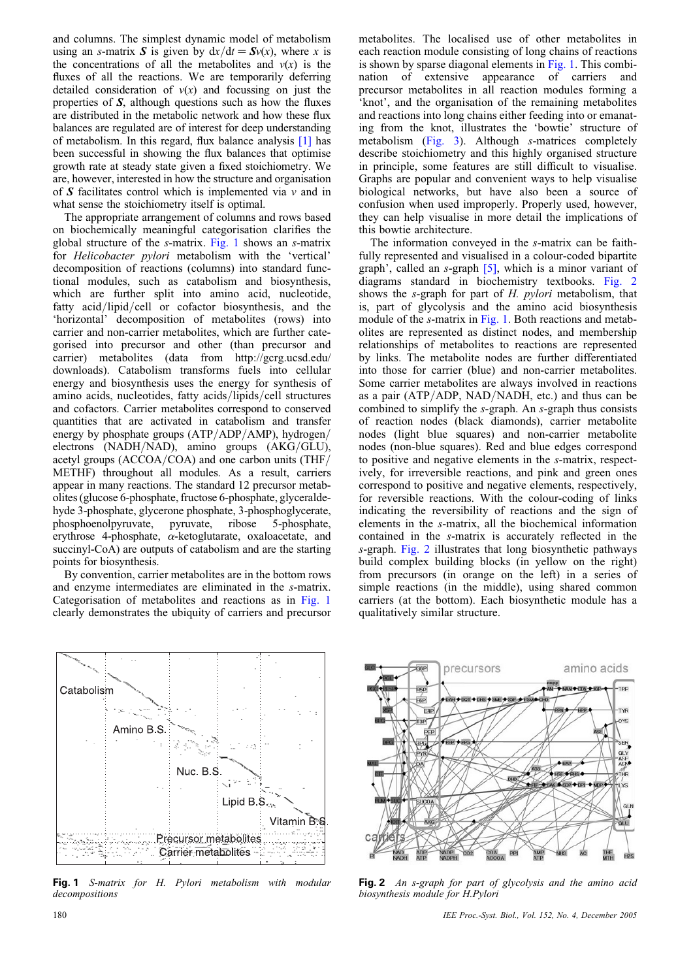<span id="page-1-0"></span>and columns. The simplest dynamic model of metabolism using an s-matrix S is given by  $dx/dt = Sv(x)$ , where x is the concentrations of all the metabolites and  $v(x)$  is the fluxes of all the reactions. We are temporarily deferring detailed consideration of  $v(x)$  and focussing on just the properties of S, although questions such as how the fluxes are distributed in the metabolic network and how these flux balances are regulated are of interest for deep understanding of metabolism. In this regard, flux balance analysis [\[1\]](#page-5-0) has been successful in showing the flux balances that optimise growth rate at steady state given a fixed stoichiometry. We are, however, interested in how the structure and organisation of  $S$  facilitates control which is implemented via  $v$  and in what sense the stoichiometry itself is optimal.

The appropriate arrangement of columns and rows based on biochemically meaningful categorisation clarifies the global structure of the s-matrix. Fig. 1 shows an s-matrix for Helicobacter pylori metabolism with the 'vertical' decomposition of reactions (columns) into standard functional modules, such as catabolism and biosynthesis, which are further split into amino acid, nucleotide, fatty acid/lipid/cell or cofactor biosynthesis, and the 'horizontal' decomposition of metabolites (rows) into carrier and non-carrier metabolites, which are further categorised into precursor and other (than precursor and carrier) metabolites (data from http://gcrg.ucsd.edu/ downloads). Catabolism transforms fuels into cellular energy and biosynthesis uses the energy for synthesis of amino acids, nucleotides, fatty acids/lipids/cell structures and cofactors. Carrier metabolites correspond to conserved quantities that are activated in catabolism and transfer energy by phosphate groups (ATP/ADP/AMP), hydrogen/ electrons (NADH/NAD), amino groups (AKG/GLU), acetyl groups (ACCOA/COA) and one carbon units (THF/ METHF) throughout all modules. As a result, carriers appear in many reactions. The standard 12 precursor metabolites (glucose 6-phosphate, fructose 6-phosphate, glyceraldehyde 3-phosphate, glycerone phosphate, 3-phosphoglycerate, phosphoenolpyruvate, pyruvate, ribose 5-phosphate, erythrose 4-phosphate,  $\alpha$ -ketoglutarate, oxaloacetate, and succinyl-CoA) are outputs of catabolism and are the starting points for biosynthesis.

By convention, carrier metabolites are in the bottom rows and enzyme intermediates are eliminated in the s-matrix. Categorisation of metabolites and reactions as in Fig. 1 clearly demonstrates the ubiquity of carriers and precursor



Fig. 1 S-matrix for H. Pylori metabolism with modular decompositions

metabolites. The localised use of other metabolites in each reaction module consisting of long chains of reactions is shown by sparse diagonal elements in Fig. 1. This combination of extensive appearance of carriers and precursor metabolites in all reaction modules forming a 'knot', and the organisation of the remaining metabolites and reactions into long chains either feeding into or emanating from the knot, illustrates the 'bowtie' structure of metabolism [\(Fig. 3\)](#page-2-0). Although s-matrices completely describe stoichiometry and this highly organised structure in principle, some features are still difficult to visualise. Graphs are popular and convenient ways to help visualise biological networks, but have also been a source of confusion when used improperly. Properly used, however, they can help visualise in more detail the implications of this bowtie architecture.

The information conveyed in the s-matrix can be faithfully represented and visualised in a colour-coded bipartite graph', called an s-graph [\[5\],](#page-5-0) which is a minor variant of diagrams standard in biochemistry textbooks. Fig. 2 shows the s-graph for part of H. pylori metabolism, that is, part of glycolysis and the amino acid biosynthesis module of the *s*-matrix in Fig. 1. Both reactions and metabolites are represented as distinct nodes, and membership relationships of metabolites to reactions are represented by links. The metabolite nodes are further differentiated into those for carrier (blue) and non-carrier metabolites. Some carrier metabolites are always involved in reactions as a pair (ATP/ADP, NAD/NADH, etc.) and thus can be combined to simplify the s-graph. An s-graph thus consists of reaction nodes (black diamonds), carrier metabolite nodes (light blue squares) and non-carrier metabolite nodes (non-blue squares). Red and blue edges correspond to positive and negative elements in the s-matrix, respectively, for irreversible reactions, and pink and green ones correspond to positive and negative elements, respectively, for reversible reactions. With the colour-coding of links indicating the reversibility of reactions and the sign of elements in the s-matrix, all the biochemical information contained in the s-matrix is accurately reflected in the s-graph. Fig. 2 illustrates that long biosynthetic pathways build complex building blocks (in yellow on the right) from precursors (in orange on the left) in a series of simple reactions (in the middle), using shared common carriers (at the bottom). Each biosynthetic module has a qualitatively similar structure.



Fig. 2 An s-graph for part of glycolysis and the amino acid biosynthesis module for H.Pylori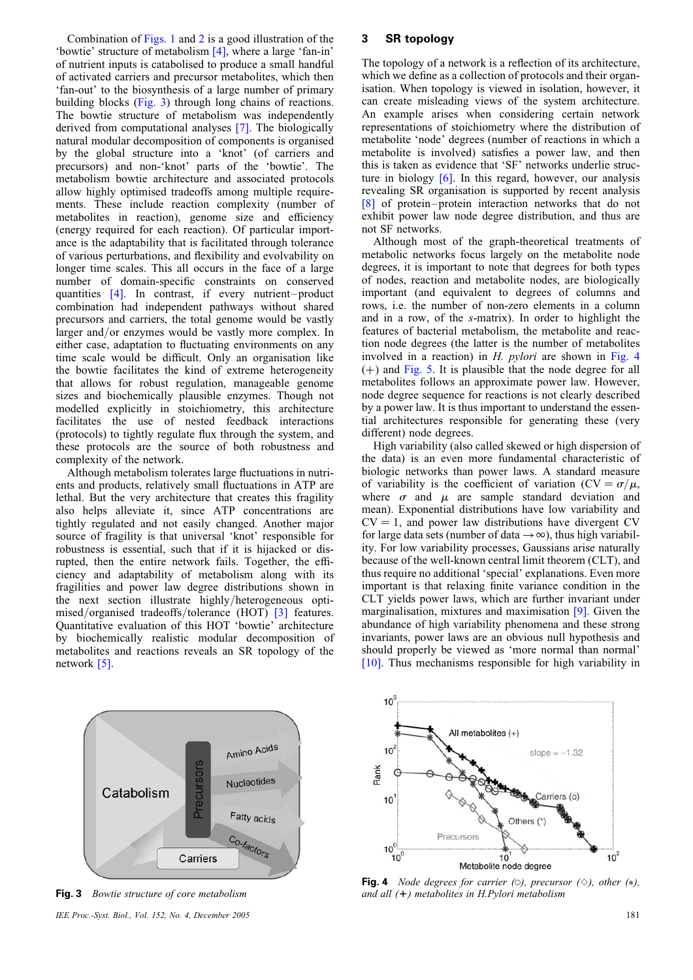<span id="page-2-0"></span>Combination of [Figs. 1](#page-1-0) and [2](#page-1-0) is a good illustration of the 'bowtie' structure of metabolism [\[4\]](#page-5-0), where a large 'fan-in' of nutrient inputs is catabolised to produce a small handful of activated carriers and precursor metabolites, which then 'fan-out' to the biosynthesis of a large number of primary building blocks (Fig. 3) through long chains of reactions. The bowtie structure of metabolism was independently derived from computational analyses [\[7\]](#page-5-0). The biologically natural modular decomposition of components is organised by the global structure into a 'knot' (of carriers and precursors) and non-'knot' parts of the 'bowtie'. The metabolism bowtie architecture and associated protocols allow highly optimised tradeoffs among multiple requirements. These include reaction complexity (number of metabolites in reaction), genome size and efficiency (energy required for each reaction). Of particular importance is the adaptability that is facilitated through tolerance of various perturbations, and flexibility and evolvability on longer time scales. This all occurs in the face of a large number of domain-specific constraints on conserved quantities [\[4\]](#page-5-0). In contrast, if every nutrient-product combination had independent pathways without shared precursors and carriers, the total genome would be vastly larger and/or enzymes would be vastly more complex. In either case, adaptation to fluctuating environments on any time scale would be difficult. Only an organisation like the bowtie facilitates the kind of extreme heterogeneity that allows for robust regulation, manageable genome sizes and biochemically plausible enzymes. Though not modelled explicitly in stoichiometry, this architecture facilitates the use of nested feedback interactions (protocols) to tightly regulate flux through the system, and these protocols are the source of both robustness and complexity of the network.

Although metabolism tolerates large fluctuations in nutrients and products, relatively small fluctuations in ATP are lethal. But the very architecture that creates this fragility also helps alleviate it, since ATP concentrations are tightly regulated and not easily changed. Another major source of fragility is that universal 'knot' responsible for robustness is essential, such that if it is hijacked or disrupted, then the entire network fails. Together, the efficiency and adaptability of metabolism along with its fragilities and power law degree distributions shown in the next section illustrate highly/heterogeneous opti-mised/organised tradeoffs/tolerance (HOT) [\[3\]](#page-5-0) features. Quantitative evaluation of this HOT 'bowtie' architecture by biochemically realistic modular decomposition of metabolites and reactions reveals an SR topology of the network [\[5\]](#page-5-0).

## 3 SR topology

The topology of a network is a reflection of its architecture, which we define as a collection of protocols and their organisation. When topology is viewed in isolation, however, it can create misleading views of the system architecture. An example arises when considering certain network representations of stoichiometry where the distribution of metabolite 'node' degrees (number of reactions in which a metabolite is involved) satisfies a power law, and then this is taken as evidence that 'SF' networks underlie structure in biology [\[6\]](#page-5-0). In this regard, however, our analysis revealing SR organisation is supported by recent analysis [\[8\]](#page-5-0) of protein –protein interaction networks that do not exhibit power law node degree distribution, and thus are not SF networks.

Although most of the graph-theoretical treatments of metabolic networks focus largely on the metabolite node degrees, it is important to note that degrees for both types of nodes, reaction and metabolite nodes, are biologically important (and equivalent to degrees of columns and rows, i.e. the number of non-zero elements in a column and in a row, of the s-matrix). In order to highlight the features of bacterial metabolism, the metabolite and reaction node degrees (the latter is the number of metabolites involved in a reaction) in H. *pylori* are shown in Fig. 4  $(+)$  and [Fig. 5.](#page-3-0) It is plausible that the node degree for all metabolites follows an approximate power law. However, node degree sequence for reactions is not clearly described by a power law. It is thus important to understand the essential architectures responsible for generating these (very different) node degrees.

High variability (also called skewed or high dispersion of the data) is an even more fundamental characteristic of biologic networks than power laws. A standard measure of variability is the coefficient of variation  $(CV = \sigma/\mu,$ where  $\sigma$  and  $\mu$  are sample standard deviation and mean). Exponential distributions have low variability and  $CV = 1$ , and power law distributions have divergent CV for large data sets (number of data  $\rightarrow \infty$ ), thus high variability. For low variability processes, Gaussians arise naturally because of the well-known central limit theorem (CLT), and thus require no additional 'special' explanations. Even more important is that relaxing finite variance condition in the CLT yields power laws, which are further invariant under marginalisation, mixtures and maximisation [\[9\]](#page-5-0). Given the abundance of high variability phenomena and these strong invariants, power laws are an obvious null hypothesis and should properly be viewed as 'more normal than normal' [\[10\]](#page-5-0). Thus mechanisms responsible for high variability in



Fig. 3 Bowtie structure of core metabolism IEE Proc.-Syst. Biol., Vol. 152, No. 4, December 2005 181



**Fig. 4** Node degrees for carrier (0), precursor ( $\diamond$ ), other (\*), and all (*1*) metabolites in H.Pylori metabolism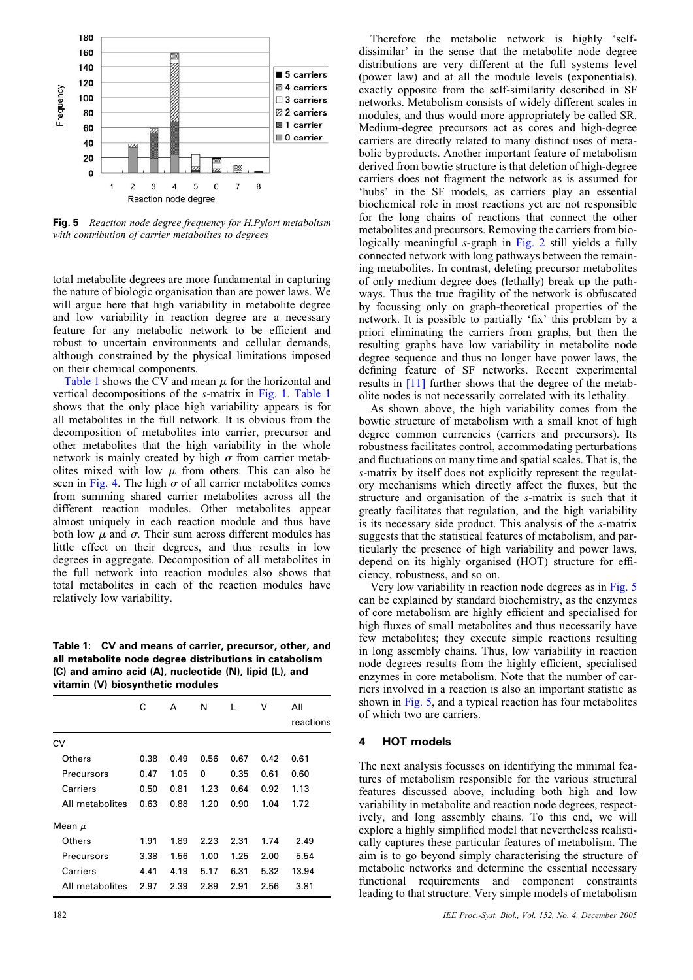<span id="page-3-0"></span>

Fig. 5 Reaction node degree frequency for H.Pylori metabolism with contribution of carrier metabolites to degrees

total metabolite degrees are more fundamental in capturing the nature of biologic organisation than are power laws. We will argue here that high variability in metabolite degree and low variability in reaction degree are a necessary feature for any metabolic network to be efficient and robust to uncertain environments and cellular demands, although constrained by the physical limitations imposed on their chemical components.

Table 1 shows the CV and mean  $\mu$  for the horizontal and vertical decompositions of the s-matrix in [Fig.](#page-1-0) 1. Table 1 shows that the only place high variability appears is for all metabolites in the full network. It is obvious from the decomposition of metabolites into carrier, precursor and other metabolites that the high variability in the whole network is mainly created by high  $\sigma$  from carrier metabolites mixed with low  $\mu$  from others. This can also be seen in [Fig. 4](#page-2-0). The high  $\sigma$  of all carrier metabolites comes from summing shared carrier metabolites across all the different reaction modules. Other metabolites appear almost uniquely in each reaction module and thus have both low  $\mu$  and  $\sigma$ . Their sum across different modules has little effect on their degrees, and thus results in low degrees in aggregate. Decomposition of all metabolites in the full network into reaction modules also shows that total metabolites in each of the reaction modules have relatively low variability.

Table 1: CV and means of carrier, precursor, other, and all metabolite node degree distributions in catabolism (C) and amino acid (A), nucleotide (N), lipid (L), and vitamin (V) biosynthetic modules

|                 | C    | A    | N    | L    | v    | All<br>reactions |
|-----------------|------|------|------|------|------|------------------|
| CV              |      |      |      |      |      |                  |
| Others          | 0.38 | 0.49 | 0.56 | 0.67 | 0.42 | 0.61             |
| Precursors      | 0.47 | 1.05 | 0    | 0.35 | 0.61 | 0.60             |
| Carriers        | 0.50 | 0.81 | 1.23 | 0.64 | 0.92 | 1.13             |
| All metabolites | 0.63 | 0.88 | 1.20 | 0.90 | 1.04 | 1.72             |
| Mean $\mu$      |      |      |      |      |      |                  |
| Others          | 1.91 | 1.89 | 2.23 | 2.31 | 1.74 | 2.49             |
| Precursors      | 3.38 | 1.56 | 1.00 | 1.25 | 2.00 | 5.54             |
| Carriers        | 4.41 | 4.19 | 5.17 | 6.31 | 5.32 | 13.94            |
| All metabolites | 2.97 | 2.39 | 2.89 | 2.91 | 2.56 | 3.81             |

Therefore the metabolic network is highly 'selfdissimilar' in the sense that the metabolite node degree distributions are very different at the full systems level (power law) and at all the module levels (exponentials), exactly opposite from the self-similarity described in SF networks. Metabolism consists of widely different scales in modules, and thus would more appropriately be called SR. Medium-degree precursors act as cores and high-degree carriers are directly related to many distinct uses of metabolic byproducts. Another important feature of metabolism derived from bowtie structure is that deletion of high-degree carriers does not fragment the network as is assumed for 'hubs' in the SF models, as carriers play an essential biochemical role in most reactions yet are not responsible for the long chains of reactions that connect the other metabolites and precursors. Removing the carriers from biologically meaningful s-graph in [Fig. 2](#page-1-0) still yields a fully connected network with long pathways between the remaining metabolites. In contrast, deleting precursor metabolites of only medium degree does (lethally) break up the pathways. Thus the true fragility of the network is obfuscated by focussing only on graph-theoretical properties of the network. It is possible to partially 'fix' this problem by a priori eliminating the carriers from graphs, but then the resulting graphs have low variability in metabolite node degree sequence and thus no longer have power laws, the defining feature of SF networks. Recent experimental results in [\[11\]](#page-5-0) further shows that the degree of the metabolite nodes is not necessarily correlated with its lethality.

As shown above, the high variability comes from the bowtie structure of metabolism with a small knot of high degree common currencies (carriers and precursors). Its robustness facilitates control, accommodating perturbations and fluctuations on many time and spatial scales. That is, the s-matrix by itself does not explicitly represent the regulatory mechanisms which directly affect the fluxes, but the structure and organisation of the s-matrix is such that it greatly facilitates that regulation, and the high variability is its necessary side product. This analysis of the s-matrix suggests that the statistical features of metabolism, and particularly the presence of high variability and power laws, depend on its highly organised (HOT) structure for efficiency, robustness, and so on.

Very low variability in reaction node degrees as in Fig. 5 can be explained by standard biochemistry, as the enzymes of core metabolism are highly efficient and specialised for high fluxes of small metabolites and thus necessarily have few metabolites; they execute simple reactions resulting in long assembly chains. Thus, low variability in reaction node degrees results from the highly efficient, specialised enzymes in core metabolism. Note that the number of carriers involved in a reaction is also an important statistic as shown in Fig. 5, and a typical reaction has four metabolites of which two are carriers.

#### 4 HOT models

The next analysis focusses on identifying the minimal features of metabolism responsible for the various structural features discussed above, including both high and low variability in metabolite and reaction node degrees, respectively, and long assembly chains. To this end, we will explore a highly simplified model that nevertheless realistically captures these particular features of metabolism. The aim is to go beyond simply characterising the structure of metabolic networks and determine the essential necessary functional requirements and component constraints leading to that structure. Very simple models of metabolism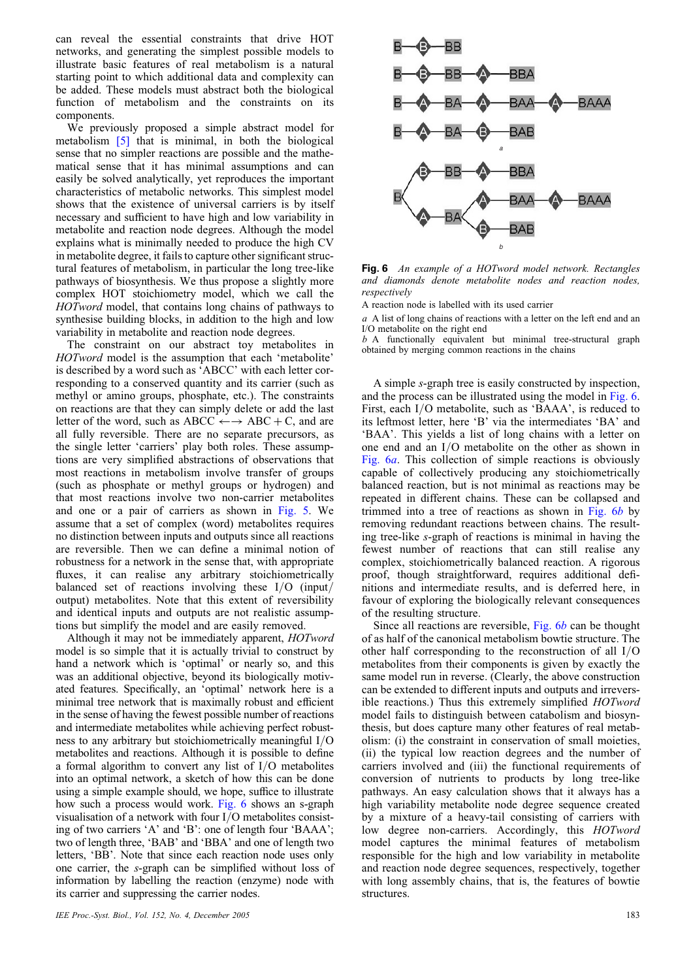can reveal the essential constraints that drive HOT networks, and generating the simplest possible models to illustrate basic features of real metabolism is a natural starting point to which additional data and complexity can be added. These models must abstract both the biological function of metabolism and the constraints on its components.

We previously proposed a simple abstract model for metabolism [\[5\]](#page-5-0) that is minimal, in both the biological sense that no simpler reactions are possible and the mathematical sense that it has minimal assumptions and can easily be solved analytically, yet reproduces the important characteristics of metabolic networks. This simplest model shows that the existence of universal carriers is by itself necessary and sufficient to have high and low variability in metabolite and reaction node degrees. Although the model explains what is minimally needed to produce the high CV in metabolite degree, it fails to capture other significant structural features of metabolism, in particular the long tree-like pathways of biosynthesis. We thus propose a slightly more complex HOT stoichiometry model, which we call the HOTword model, that contains long chains of pathways to synthesise building blocks, in addition to the high and low variability in metabolite and reaction node degrees.

The constraint on our abstract toy metabolites in HOTword model is the assumption that each 'metabolite' is described by a word such as 'ABCC' with each letter corresponding to a conserved quantity and its carrier (such as methyl or amino groups, phosphate, etc.). The constraints on reactions are that they can simply delete or add the last letter of the word, such as ABCC  $\leftarrow \rightarrow$  ABC + C, and are all fully reversible. There are no separate precursors, as the single letter 'carriers' play both roles. These assumptions are very simplified abstractions of observations that most reactions in metabolism involve transfer of groups (such as phosphate or methyl groups or hydrogen) and that most reactions involve two non-carrier metabolites and one or a pair of carriers as shown in [Fig. 5](#page-3-0). We assume that a set of complex (word) metabolites requires no distinction between inputs and outputs since all reactions are reversible. Then we can define a minimal notion of robustness for a network in the sense that, with appropriate fluxes, it can realise any arbitrary stoichiometrically balanced set of reactions involving these I/O (input/ output) metabolites. Note that this extent of reversibility and identical inputs and outputs are not realistic assumptions but simplify the model and are easily removed.

Although it may not be immediately apparent, HOTword model is so simple that it is actually trivial to construct by hand a network which is 'optimal' or nearly so, and this was an additional objective, beyond its biologically motivated features. Specifically, an 'optimal' network here is a minimal tree network that is maximally robust and efficient in the sense of having the fewest possible number of reactions and intermediate metabolites while achieving perfect robustness to any arbitrary but stoichiometrically meaningful I/O metabolites and reactions. Although it is possible to define a formal algorithm to convert any list of I/O metabolites into an optimal network, a sketch of how this can be done using a simple example should, we hope, suffice to illustrate how such a process would work. Fig. 6 shows an s-graph visualisation of a network with four I/O metabolites consisting of two carriers 'A' and 'B': one of length four 'BAAA'; two of length three, 'BAB' and 'BBA' and one of length two letters, 'BB'. Note that since each reaction node uses only one carrier, the s-graph can be simplified without loss of information by labelling the reaction (enzyme) node with its carrier and suppressing the carrier nodes.



Fig. 6 An example of a HOTword model network. Rectangles and diamonds denote metabolite nodes and reaction nodes, respectively

A reaction node is labelled with its used carrier

a A list of long chains of reactions with a letter on the left end and an I/O metabolite on the right end

b A functionally equivalent but minimal tree-structural graph obtained by merging common reactions in the chains

A simple s-graph tree is easily constructed by inspection, and the process can be illustrated using the model in Fig. 6. First, each I/O metabolite, such as 'BAAA', is reduced to its leftmost letter, here 'B' via the intermediates 'BA' and 'BAA'. This yields a list of long chains with a letter on one end and an I/O metabolite on the other as shown in Fig. 6a. This collection of simple reactions is obviously capable of collectively producing any stoichiometrically balanced reaction, but is not minimal as reactions may be repeated in different chains. These can be collapsed and trimmed into a tree of reactions as shown in Fig. 6b by removing redundant reactions between chains. The resulting tree-like s-graph of reactions is minimal in having the fewest number of reactions that can still realise any complex, stoichiometrically balanced reaction. A rigorous proof, though straightforward, requires additional definitions and intermediate results, and is deferred here, in favour of exploring the biologically relevant consequences of the resulting structure.

Since all reactions are reversible, Fig. 6b can be thought of as half of the canonical metabolism bowtie structure. The other half corresponding to the reconstruction of all I/O metabolites from their components is given by exactly the same model run in reverse. (Clearly, the above construction can be extended to different inputs and outputs and irreversible reactions.) Thus this extremely simplified HOTword model fails to distinguish between catabolism and biosynthesis, but does capture many other features of real metabolism: (i) the constraint in conservation of small moieties, (ii) the typical low reaction degrees and the number of carriers involved and (iii) the functional requirements of conversion of nutrients to products by long tree-like pathways. An easy calculation shows that it always has a high variability metabolite node degree sequence created by a mixture of a heavy-tail consisting of carriers with low degree non-carriers. Accordingly, this HOTword model captures the minimal features of metabolism responsible for the high and low variability in metabolite and reaction node degree sequences, respectively, together with long assembly chains, that is, the features of bowtie structures.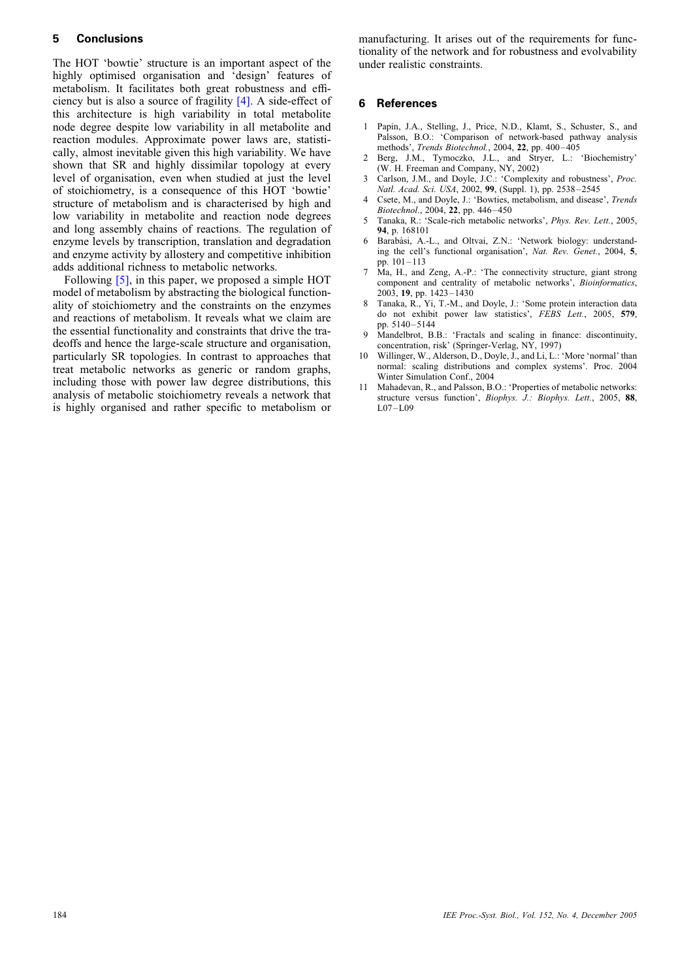# <span id="page-5-0"></span>5 Conclusions

The HOT 'bowtie' structure is an important aspect of the highly optimised organisation and 'design' features of metabolism. It facilitates both great robustness and efficiency but is also a source of fragility [4]. A side-effect of this architecture is high variability in total metabolite node degree despite low variability in all metabolite and reaction modules. Approximate power laws are, statistically, almost inevitable given this high variability. We have shown that SR and highly dissimilar topology at every level of organisation, even when studied at just the level of stoichiometry, is a consequence of this HOT 'bowtie' structure of metabolism and is characterised by high and low variability in metabolite and reaction node degrees and long assembly chains of reactions. The regulation of enzyme levels by transcription, translation and degradation and enzyme activity by allostery and competitive inhibition adds additional richness to metabolic networks.

Following [5], in this paper, we proposed a simple HOT model of metabolism by abstracting the biological functionality of stoichiometry and the constraints on the enzymes and reactions of metabolism. It reveals what we claim are the essential functionality and constraints that drive the tradeoffs and hence the large-scale structure and organisation, particularly SR topologies. In contrast to approaches that treat metabolic networks as generic or random graphs, including those with power law degree distributions, this analysis of metabolic stoichiometry reveals a network that is highly organised and rather specific to metabolism or manufacturing. It arises out of the requirements for functionality of the network and for robustness and evolvability under realistic constraints.

#### 6 References

- 1 Papin, J.A., Stelling, J., Price, N.D., Klamt, S., Schuster, S., and Palsson, B.O.: 'Comparison of network-based pathway analysis methods', Trends Biotechnol., 2004, 22, pp. 400-405
- 2 Berg, J.M., Tymoczko, J.L., and Stryer, L.: 'Biochemistry' (W. H. Freeman and Company, NY, 2002)
- 3 Carlson, J.M., and Doyle, J.C.: 'Complexity and robustness', Proc. Natl. Acad. Sci. USA, 2002, 99, (Suppl. 1), pp. 2538–2545
- Csete, M., and Doyle, J.: 'Bowties, metabolism, and disease', Trends Biotechnol., 2004, 22, pp. 446–450
- 5 Tanaka, R.: 'Scale-rich metabolic networks', Phys. Rev. Lett., 2005, 94, p. 168101
- Barabàsi, A.-L., and Oltvai, Z.N.: 'Network biology: understanding the cell's functional organisation', Nat. Rev. Genet., 2004, 5, pp. 101 –113
- 7 Ma, H., and Zeng, A.-P.: 'The connectivity structure, giant strong component and centrality of metabolic networks', Bioinformatics, 2003, 19, pp. 1423– 1430
- 8 Tanaka, R., Yi, T.-M., and Doyle, J.: 'Some protein interaction data do not exhibit power law statistics', FEBS Lett., 2005, 579, pp. 5140–5144
- Mandelbrot, B.B.: 'Fractals and scaling in finance: discontinuity, concentration, risk' (Springer-Verlag, NY, 1997)
- 10 Willinger, W., Alderson, D., Doyle, J., and Li, L.: 'More 'normal' than normal: scaling distributions and complex systems'. Proc. 2004 Winter Simulation Conf., 2004
- 11 Mahadevan, R., and Palsson, B.O.: 'Properties of metabolic networks: structure versus function', Biophys. J.: Biophys. Lett., 2005, 88, L07 –L09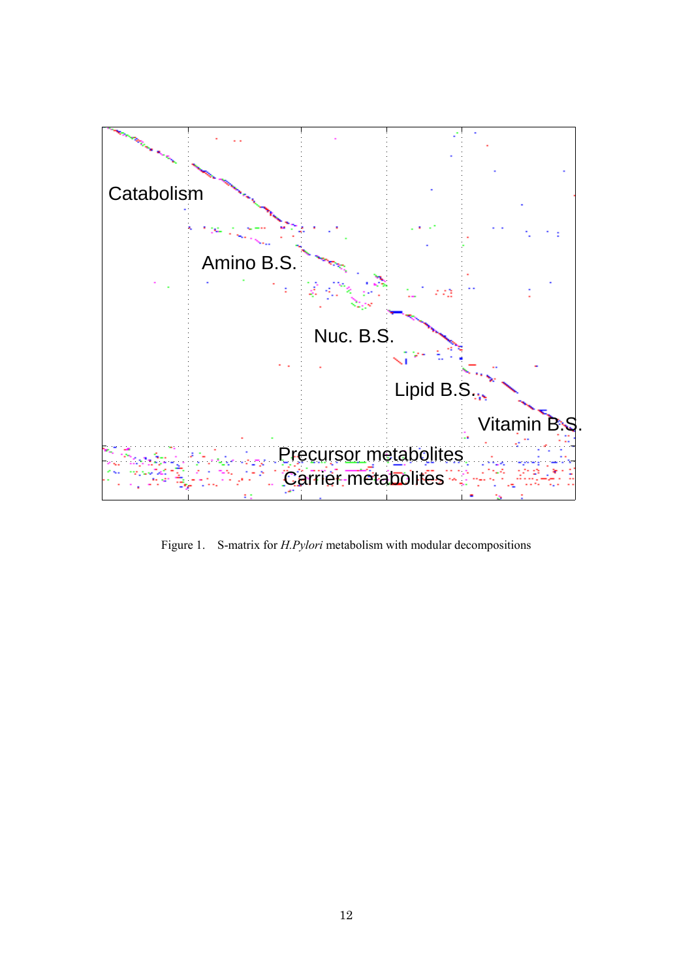

Figure 1. S-matrix for *H.Pylori* metabolism with modular decompositions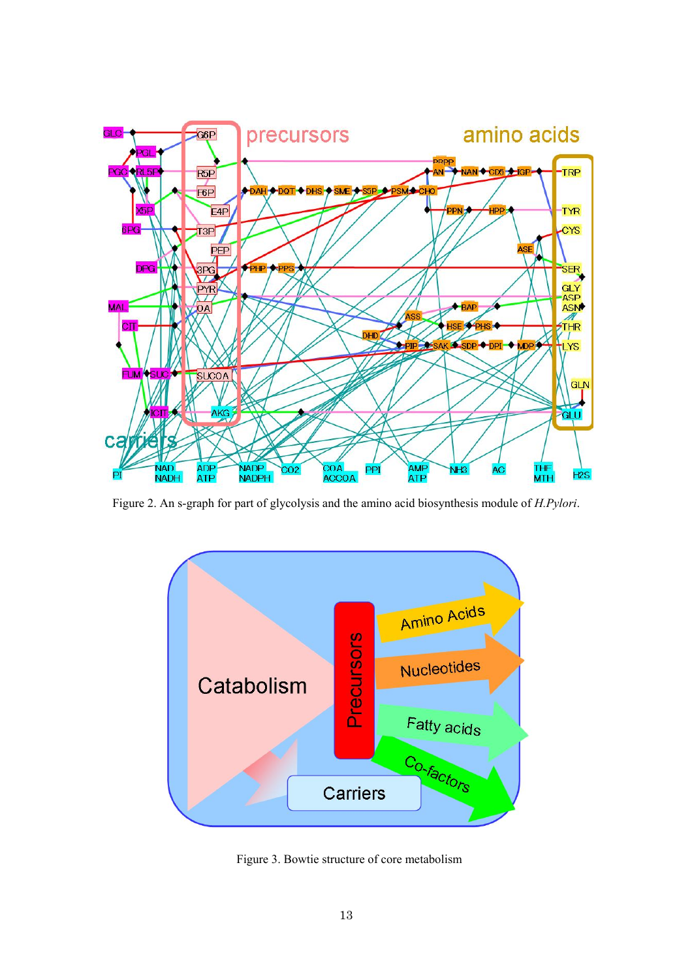

Figure 2. An s-graph for part of glycolysis and the amino acid biosynthesis module of *H.Pylori*.



Figure 3. Bowtie structure of core metabolism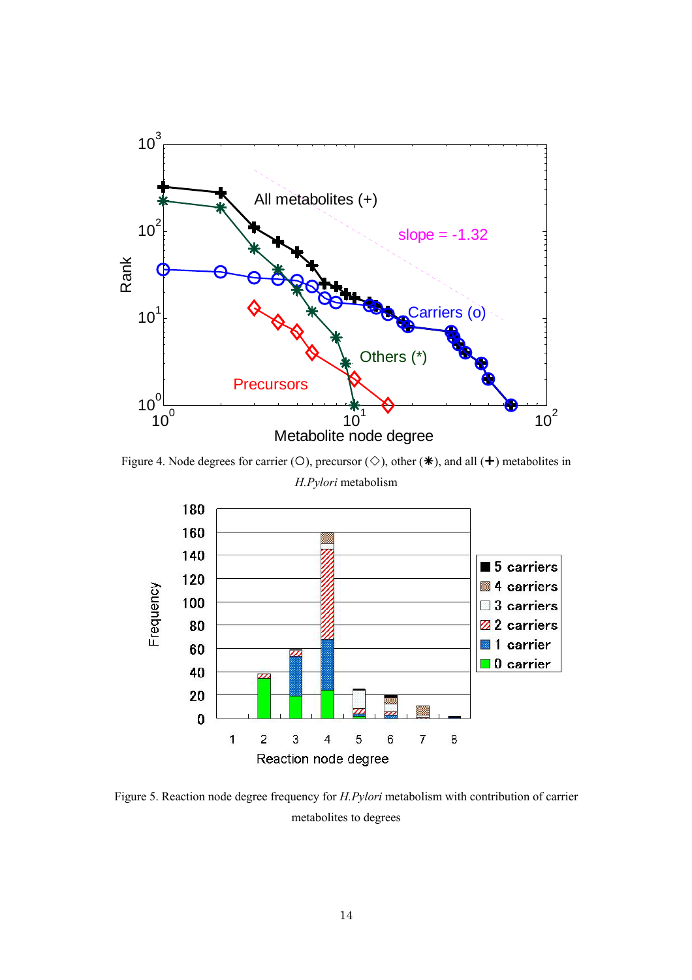

Figure 4. Node degrees for carrier ( $O$ ), precursor ( $\diamond$ ), other ( $\diamond$ ), and all ( $\diamond$ ) metabolites in *H.Pylori* metabolism



Figure 5. Reaction node degree frequency for *H.Pylori* metabolism with contribution of carrier metabolites to degrees